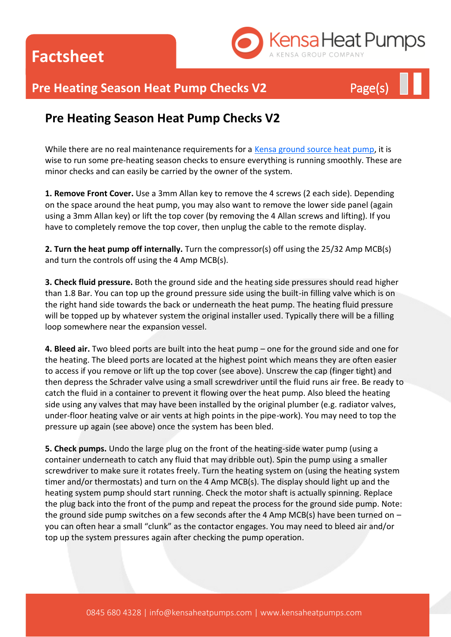**Factsheet**



## **Pre Heating Season Heat Pump Checks V2** Page(s)

### **Pre Heating Season Heat Pump Checks V2**

While there are no real maintenance requirements for a [Kensa ground source heat pump,](http://www.kensaheatpumps.com/) it is wise to run some pre-heating season checks to ensure everything is running smoothly. These are minor checks and can easily be carried by the owner of the system.

**1. Remove Front Cover.** Use a 3mm Allan key to remove the 4 screws (2 each side). Depending on the space around the heat pump, you may also want to remove the lower side panel (again using a 3mm Allan key) or lift the top cover (by removing the 4 Allan screws and lifting). If you have to completely remove the top cover, then unplug the cable to the remote display.

**2. Turn the heat pump off internally.** Turn the compressor(s) off using the 25/32 Amp MCB(s) and turn the controls off using the 4 Amp MCB(s).

**3. Check fluid pressure.** Both the ground side and the heating side pressures should read higher than 1.8 Bar. You can top up the ground pressure side using the built-in filling valve which is on the right hand side towards the back or underneath the heat pump. The heating fluid pressure will be topped up by whatever system the original installer used. Typically there will be a filling loop somewhere near the expansion vessel.

**4. Bleed air.** Two bleed ports are built into the heat pump – one for the ground side and one for the heating. The bleed ports are located at the highest point which means they are often easier to access if you remove or lift up the top cover (see above). Unscrew the cap (finger tight) and then depress the Schrader valve using a small screwdriver until the fluid runs air free. Be ready to catch the fluid in a container to prevent it flowing over the heat pump. Also bleed the heating side using any valves that may have been installed by the original plumber (e.g. radiator valves, under-floor heating valve or air vents at high points in the pipe-work). You may need to top the pressure up again (see above) once the system has been bled.

**5. Check pumps.** Undo the large plug on the front of the heating-side water pump (using a container underneath to catch any fluid that may dribble out). Spin the pump using a smaller screwdriver to make sure it rotates freely. Turn the heating system on (using the heating system timer and/or thermostats) and turn on the 4 Amp MCB(s). The display should light up and the heating system pump should start running. Check the motor shaft is actually spinning. Replace the plug back into the front of the pump and repeat the process for the ground side pump. Note: the ground side pump switches on a few seconds after the 4 Amp MCB(s) have been turned on  $$ you can often hear a small "clunk" as the contactor engages. You may need to bleed air and/or top up the system pressures again after checking the pump operation.